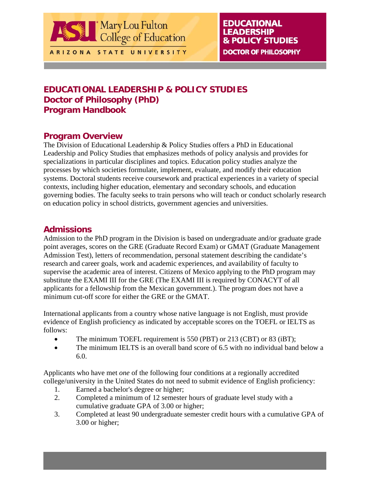

ARIZONA STATE UNIVERSITY

## **EDUCATIONAL LEADERSHIP & POLICY STUDIES DOCTOR OF PHILOSOPHY**

# **EDUCATIONAL LEADERSHIP & POLICY STUDIES Doctor of Philosophy (PhD) Program Handbook**

## **Program Overview**

The Division of Educational Leadership & Policy Studies offers a PhD in Educational Leadership and Policy Studies that emphasizes methods of policy analysis and provides for specializations in particular disciplines and topics. Education policy studies analyze the processes by which societies formulate, implement, evaluate, and modify their education systems. Doctoral students receive coursework and practical experiences in a variety of special contexts, including higher education, elementary and secondary schools, and education governing bodies. The faculty seeks to train persons who will teach or conduct scholarly research on education policy in school districts, government agencies and universities.

## **Admissions**

Admission to the PhD program in the Division is based on undergraduate and/or graduate grade point averages, scores on the GRE (Graduate Record Exam) or GMAT (Graduate Management Admission Test), letters of recommendation, personal statement describing the candidate's research and career goals, work and academic experiences, and availability of faculty to supervise the academic area of interest. Citizens of Mexico applying to the PhD program may substitute the EXAMI III for the GRE (The EXAMI III is required by CONACYT of all applicants for a fellowship from the Mexican government.). The program does not have a minimum cut-off score for either the GRE or the GMAT.

International applicants from a country whose native language is not English, must provide evidence of English proficiency as indicated by acceptable scores on the TOEFL or IELTS as follows:

- The minimum TOEFL requirement is 550 (PBT) or 213 (CBT) or 83 (iBT);
- The minimum IELTS is an overall band score of 6.5 with no individual band below a 6.0.

Applicants who have met *one* of the following four conditions at a regionally accredited college/university in the United States do not need to submit evidence of English proficiency:

- 1. Earned a bachelor's degree or higher;
- 2. Completed a minimum of 12 semester hours of graduate level study with a cumulative graduate GPA of 3.00 or higher;
- 3. Completed at least 90 undergraduate semester credit hours with a cumulative GPA of 3.00 or higher;

**ELPS PhD Handbook: p. 1** 

**Rev. 4/2009**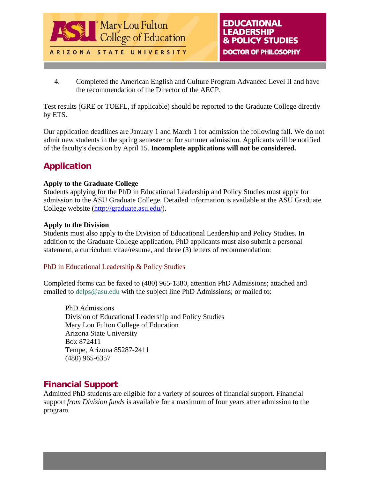

**Rev. 4/2009** 

4. Completed the American English and Culture Program Advanced Level II and have the recommendation of the Director of the AECP.

Test results (GRE or TOEFL, if applicable) should be reported to the Graduate College directly by ETS.

Our application deadlines are January 1 and March 1 for admission the following fall. We do not admit new students in the spring semester or for summer admission. Applicants will be notified of the faculty's decision by April 15. **Incomplete applications will not be considered.** 

# **Application**

## **Apply to the Graduate College**

Students applying for the PhD in Educational Leadership and Policy Studies must apply for admission to the ASU Graduate College. Detailed information is available at the [ASU Graduate](http://graduate.asu.edu/)  [College website](http://graduate.asu.edu/) ([http://graduate.asu.edu/\)](http://graduate.asu.edu/).

### **Apply to the Division**

Students must also apply to the Division of Educational Leadership and Policy Studies. In addition to the Graduate College application, PhD applicants must also submit a personal statement, a curriculum vitae/resume, and three (3) letters of recommendation:

## [PhD in Educational Leadership & Policy Studies](http://education.asu.edu/global/forms/elps/phdapp.doc)

Completed forms can be faxed to (480) 965-1880, attention PhD Admissions; attached and emailed to [delps@asu.edu](mailto:delps@asu.edu) with the subject line PhD Admissions; or mailed to:

PhD Admissions Division of Educational Leadership and Policy Studies Mary Lou Fulton College of Education Arizona State University Box 872411 Tempe, Arizona 85287-2411 (480) 965-6357

## **Financial Support**

Admitted PhD students are eligible for a variety of sources of financial support. Financial support *from Division funds* is available for a maximum of four years after admission to the program.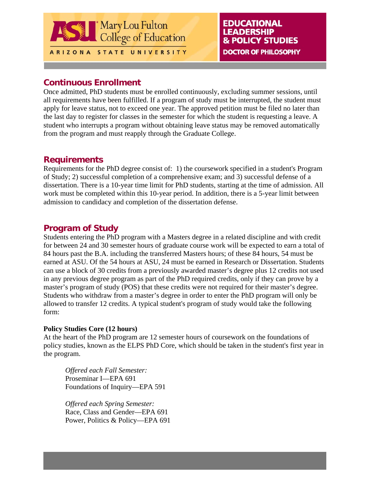

**Rev. 4/2009** 

## **Continuous Enrollment**

Once admitted, PhD students must be enrolled continuously, excluding summer sessions, until all requirements have been fulfilled. If a program of study must be interrupted, the student must apply for leave status, not to exceed one year. The approved petition must be filed no later than the last day to register for classes in the semester for which the student is requesting a leave. A student who interrupts a program without obtaining leave status may be removed automatically from the program and must reapply through the Graduate College.

## **Requirements**

Requirements for the PhD degree consist of: 1) the coursework specified in a student's Program of Study; 2) successful completion of a comprehensive exam; and 3) successful defense of a dissertation. There is a 10-year time limit for PhD students, starting at the time of admission. All work must be completed within this 10-year period. In addition, there is a 5-year limit between admission to candidacy and completion of the dissertation defense.

## **Program of Study**

Students entering the PhD program with a Masters degree in a related discipline and with credit for between 24 and 30 semester hours of graduate course work will be expected to earn a total of 84 hours past the B.A. including the transferred Masters hours; of these 84 hours, 54 must be earned at ASU. Of the 54 hours at ASU, 24 must be earned in Research or Dissertation. Students can use a block of 30 credits from a previously awarded master's degree plus 12 credits not used in any previous degree program as part of the PhD required credits, only if they can prove by a master's program of study (POS) that these credits were not required for their master's degree. Students who withdraw from a master's degree in order to enter the PhD program will only be allowed to transfer 12 credits. A typical student's program of study would take the following form:

## **Policy Studies Core (12 hours)**

At the heart of the PhD program are 12 semester hours of coursework on the foundations of policy studies, known as the ELPS PhD Core, which should be taken in the student's first year in the program.

*Offered each Fall Semester:*  Proseminar I—EPA 691 Foundations of Inquiry—EPA 591

*Offered each Spring Semester:*  Race, Class and Gender—EPA 691 Power, Politics & Policy—EPA 691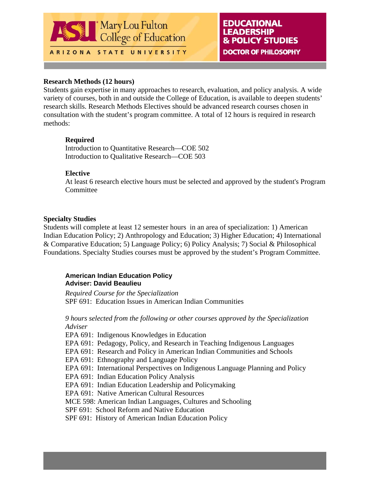

**Rev. 4/2009** 

### **Research Methods (12 hours)**

Students gain expertise in many approaches to research, evaluation, and policy analysis. A wide variety of courses, both in and outside the College of Education, is available to deepen students' research skills. Research Methods Electives should be advanced research courses chosen in consultation with the student's program committee. A total of 12 hours is required in research methods:

### **Required**

Introduction to Quantitative Research—COE 502 Introduction to Qualitative Research—COE 503

## **Elective**

At least 6 research elective hours must be selected and approved by the student's Program Committee

### **Specialty Studies**

Students will complete at least 12 semester hours in an area of specialization: 1) American Indian Education Policy; 2) Anthropology and Education; 3) Higher Education; 4) International & Comparative Education; 5) Language Policy; 6) Policy Analysis; 7) Social & Philosophical Foundations. Specialty Studies courses must be approved by the student's Program Committee.

### **American Indian Education Policy Adviser: David Beaulieu**

*Required Course for the Specialization*  SPF 691: Education Issues in American Indian Communities

*9 hours selected from the following or other courses approved by the Specialization Adviser* 

EPA 691: Indigenous Knowledges in Education

EPA 691: Pedagogy, Policy, and Research in Teaching Indigenous Languages

EPA 691: Research and Policy in American Indian Communities and Schools

EPA 691: Ethnography and Language Policy

EPA 691: International Perspectives on Indigenous Language Planning and Policy

EPA 691: Indian Education Policy Analysis

EPA 691: Indian Education Leadership and Policymaking

EPA 691: Native American Cultural Resources

MCE 598: American Indian Languages, Cultures and Schooling

SPF 691: School Reform and Native Education

SPF 691: History of American Indian Education Policy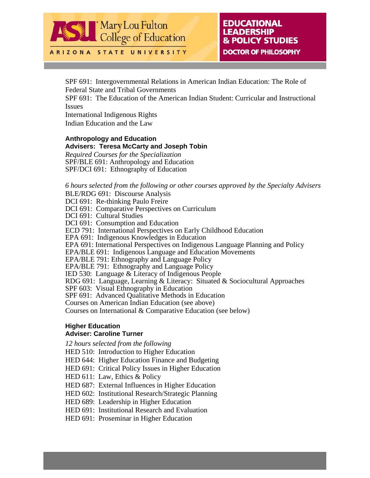

**EDUCATIONAL LEADERSHIP & POLICY STUDIES DOCTOR OF PHILOSOPHY** 

**ELPS PhD Handbook: p. 5** 

**Rev. 4/2009** 

ARIZONA STATE UNIVERSITY

SPF 691: Intergovernmental Relations in American Indian Education: The Role of Federal State and Tribal Governments

SPF 691: The Education of the American Indian Student: Curricular and Instructional Issues

International Indigenous Rights Indian Education and the Law

## **Anthropology and Education Advisers: Teresa McCarty and Joseph Tobin**

*Required Courses for the Specialization*  SPF/BLE 691: Anthropology and Education SPF/DCI 691: Ethnography of Education

*6 hours selected from the following or other courses approved by the Specialty Advisers* 

BLE/RDG 691: Discourse Analysis DCI 691: Re-thinking Paulo Freire DCI 691: Comparative Perspectives on Curriculum DCI 691: Cultural Studies DCI 691: Consumption and Education ECD 791: International Perspectives on Early Childhood Education EPA 691: Indigenous Knowledges in Education EPA 691: International Perspectives on Indigenous Language Planning and Policy EPA/BLE 691: Indigenous Language and Education Movements EPA/BLE 791: Ethnography and Language Policy EPA/BLE 791: Ethnography and Language Policy IED 530: Language & Literacy of Indigenous People RDG 691: Language, Learning & Literacy: Situated & Sociocultural Approaches SPF 603: Visual Ethnography in Education SPF 691: Advanced Qualitative Methods in Education Courses on American Indian Education (see above) Courses on International & Comparative Education (see below)

#### **Higher Education Adviser: Caroline Turner**

*12 hours selected from the following* 

HED 510: Introduction to Higher Education

HED 644: Higher Education Finance and Budgeting

HED 691: Critical Policy Issues in Higher Education

HED 611: Law, Ethics & Policy

HED 687: External Influences in Higher Education

HED 602: Institutional Research/Strategic Planning

HED 689: Leadership in Higher Education

HED 691: Institutional Research and Evaluation

HED 691: Proseminar in Higher Education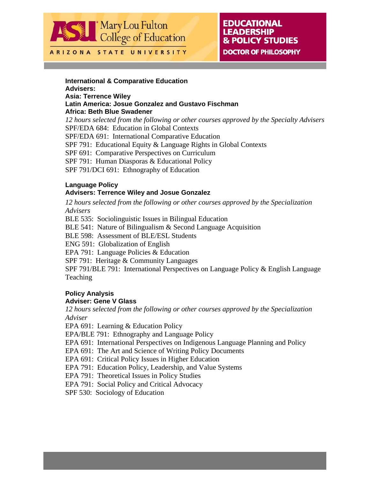

#### ARIZONA STATE UNIVERSITY

## **EDUCATIONAL LEADERSHIP & POLICY STUDIES DOCTOR OF PHILOSOPHY**

**ELPS PhD Handbook: p. 6** 

**Rev. 4/2009** 

#### **International & Comparative Education Advisers: Asia: Terrence Wiley Latin America: Josue Gonzalez and Gustavo Fischman Africa: Beth Blue Swadener** *12 hours selected from the following or other courses approved by the Specialty Advisers* SPF/EDA 684: Education in Global Contexts

SPF/EDA 691: International Comparative Education SPF 791: Educational Equity & Language Rights in Global Contexts SPF 691: Comparative Perspectives on Curriculum SPF 791: Human Diasporas & Educational Policy SPF 791/DCI 691: Ethnography of Education

### **Language Policy**

### **Advisers: Terrence Wiley and Josue Gonzalez**

*12 hours selected from the following or other courses approved by the Specialization Advisers*

BLE 535: Sociolinguistic Issues in Bilingual Education

BLE 541: Nature of Bilingualism & Second Language Acquisition

BLE 598: Assessment of BLE/ESL Students

ENG 591: Globalization of English

EPA 791: Language Policies & Education

SPF 791: Heritage & Community Languages

SPF 791/BLE 791: International Perspectives on Language Policy & English Language **Teaching** 

## **Policy Analysis**

### **Adviser: Gene V Glass**

*12 hours selected from the following or other courses approved by the Specialization Adviser*

EPA 691: Learning & Education Policy

EPA/BLE 791: Ethnography and Language Policy

EPA 691: International Perspectives on Indigenous Language Planning and Policy

EPA 691: The Art and Science of Writing Policy Documents

EPA 691: Critical Policy Issues in Higher Education

EPA 791: Education Policy, Leadership, and Value Systems

EPA 791: Theoretical Issues in Policy Studies

EPA 791: Social Policy and Critical Advocacy

SPF 530: Sociology of Education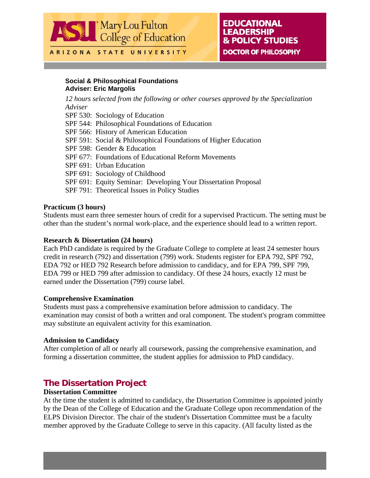

ARIZONA STATE UNIVERSITY

## **EDUCATIONAL LEADERSHIP & POLICY STUDIES DOCTOR OF PHILOSOPHY**

**ELPS PhD Handbook: p. 7** 

**Rev. 4/2009** 

#### **Social & Philosophical Foundations Adviser: Eric Margolis**

*12 hours selected from the following or other courses approved by the Specialization Adviser* SPF 530: Sociology of Education SPF 544: Philosophical Foundations of Education SPF 566: History of American Education SPF 591: Social & Philosophical Foundations of Higher Education SPF 598: Gender & Education SPF 677: Foundations of Educational Reform Movements SPF 691: Urban Education SPF 691: Sociology of Childhood SPF 691: Equity Seminar: Developing Your Dissertation Proposal SPF 791: Theoretical Issues in Policy Studies

#### **Practicum (3 hours)**

Students must earn three semester hours of credit for a supervised Practicum. The setting must be other than the student's normal work-place, and the experience should lead to a written report.

#### **Research & Dissertation (24 hours)**

Each PhD candidate is required by the Graduate College to complete at least 24 semester hours credit in research (792) and dissertation (799) work. Students register for EPA 792, SPF 792, EDA 792 or HED 792 Research before admission to candidacy, and for EPA 799, SPF 799, EDA 799 or HED 799 after admission to candidacy. Of these 24 hours, exactly 12 must be earned under the Dissertation (799) course label.

#### **Comprehensive Examination**

Students must pass a comprehensive examination before admission to candidacy. The examination may consist of both a written and oral component. The student's program committee may substitute an equivalent activity for this examination.

#### **Admission to Candidacy**

After completion of all or nearly all coursework, passing the comprehensive examination, and forming a dissertation committee, the student applies for admission to PhD candidacy.

## **The Dissertation Project**

#### **Dissertation Committee**

At the time the student is admitted to candidacy, the Dissertation Committee is appointed jointly by the Dean of the College of Education and the Graduate College upon recommendation of the ELPS Division Director. The chair of the student's Dissertation Committee must be a faculty member approved by the Graduate College to serve in this capacity. (All faculty listed as the